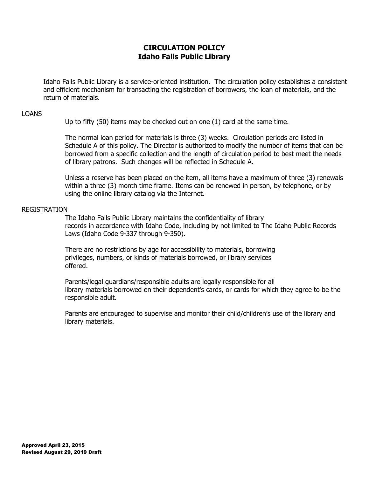# **CIRCULATION POLICY Idaho Falls Public Library**

Idaho Falls Public Library is a service-oriented institution. The circulation policy establishes a consistent and efficient mechanism for transacting the registration of borrowers, the loan of materials, and the return of materials.

## LOANS

Up to fifty (50) items may be checked out on one (1) card at the same time.

The normal loan period for materials is three (3) weeks. Circulation periods are listed in Schedule A of this policy. The Director is authorized to modify the number of items that can be borrowed from a specific collection and the length of circulation period to best meet the needs of library patrons. Such changes will be reflected in Schedule A.

Unless a reserve has been placed on the item, all items have a maximum of three (3) renewals within a three (3) month time frame. Items can be renewed in person, by telephone, or by using the online library catalog via the Internet.

# REGISTRATION

The Idaho Falls Public Library maintains the confidentiality of library records in accordance with Idaho Code, including by not limited to The Idaho Public Records Laws (Idaho Code 9-337 through 9-350).

There are no restrictions by age for accessibility to materials, borrowing privileges, numbers, or kinds of materials borrowed, or library services offered.

Parents/legal guardians/responsible adults are legally responsible for all library materials borrowed on their dependent's cards, or cards for which they agree to be the responsible adult.

Parents are encouraged to supervise and monitor their child/children's use of the library and library materials.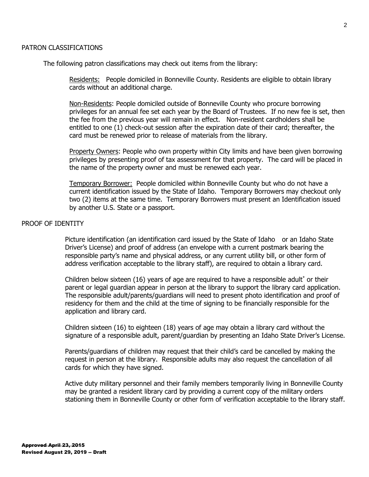The following patron classifications may check out items from the library:

Residents: People domiciled in Bonneville County. Residents are eligible to obtain library cards without an additional charge.

Non-Residents: People domiciled outside of Bonneville County who procure borrowing privileges for an annual fee set each year by the Board of Trustees. If no new fee is set, then the fee from the previous year will remain in effect. Non-resident cardholders shall be entitled to one (1) check-out session after the expiration date of their card; thereafter, the card must be renewed prior to release of materials from the library.

Property Owners: People who own property within City limits and have been given borrowing privileges by presenting proof of tax assessment for that property. The card will be placed in the name of the property owner and must be renewed each year.

Temporary Borrower: People domiciled within Bonneville County but who do not have a current identification issued by the State of Idaho. Temporary Borrowers may checkout only two (2) items at the same time. Temporary Borrowers must present an Identification issued by another U.S. State or a passport.

# PROOF OF IDENTITY

Picture identification (an identification card issued by the State of Idaho or an Idaho State Driver's License) and proof of address (an envelope with a current postmark bearing the responsible party's name and physical address, or any current utility bill, or other form of address verification acceptable to the library staff), are required to obtain a library card.

Children below sixteen  $(16)$  years of age are required to have a responsible adult<sup>\*</sup> or their parent or legal guardian appear in person at the library to support the library card application. The responsible adult/parents/guardians will need to present photo identification and proof of residency for them and the child at the time of signing to be financially responsible for the application and library card.

Children sixteen (16) to eighteen (18) years of age may obtain a library card without the signature of a responsible adult, parent/guardian by presenting an Idaho State Driver's License.

Parents/guardians of children may request that their child's card be cancelled by making the request in person at the library. Responsible adults may also request the cancellation of all cards for which they have signed.

Active duty military personnel and their family members temporarily living in Bonneville County may be granted a resident library card by providing a current copy of the military orders stationing them in Bonneville County or other form of verification acceptable to the library staff.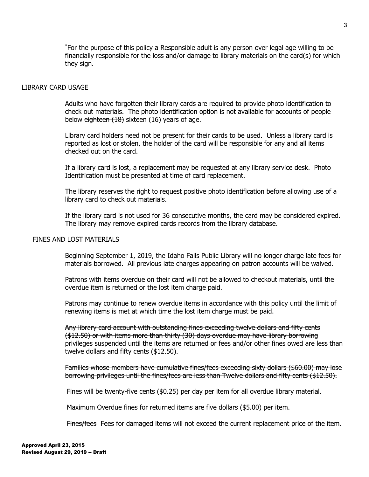\*For the purpose of this policy a Responsible adult is any person over legal age willing to be financially responsible for the loss and/or damage to library materials on the card(s) for which they sign.

#### LIBRARY CARD USAGE

Adults who have forgotten their library cards are required to provide photo identification to check out materials. The photo identification option is not available for accounts of people below eighteen (18) sixteen (16) years of age.

Library card holders need not be present for their cards to be used. Unless a library card is reported as lost or stolen, the holder of the card will be responsible for any and all items checked out on the card.

If a library card is lost, a replacement may be requested at any library service desk. Photo Identification must be presented at time of card replacement.

The library reserves the right to request positive photo identification before allowing use of a library card to check out materials.

If the library card is not used for 36 consecutive months, the card may be considered expired. The library may remove expired cards records from the library database.

# FINES AND LOST MATERIALS

Beginning September 1, 2019, the Idaho Falls Public Library will no longer charge late fees for materials borrowed. All previous late charges appearing on patron accounts will be waived.

Patrons with items overdue on their card will not be allowed to checkout materials, until the overdue item is returned or the lost item charge paid.

Patrons may continue to renew overdue items in accordance with this policy until the limit of renewing items is met at which time the lost item charge must be paid.

Any library card account with outstanding fines exceeding twelve dollars and fifty cents (\$12.50) or with items more than thirty (30) days overdue may have library borrowing privileges suspended until the items are returned or fees and/or other fines owed are less than twelve dollars and fifty cents (\$12.50).

Families whose members have cumulative fines/fees exceeding sixty dollars (\$60.00) may lose borrowing privileges until the fines/fees are less than Twelve dollars and fifty cents (\$12.50).

Fines will be twenty-five cents (\$0.25) per day per item for all overdue library material.

Maximum Overdue fines for returned items are five dollars (\$5.00) per item.

Fines/fees Fees for damaged items will not exceed the current replacement price of the item.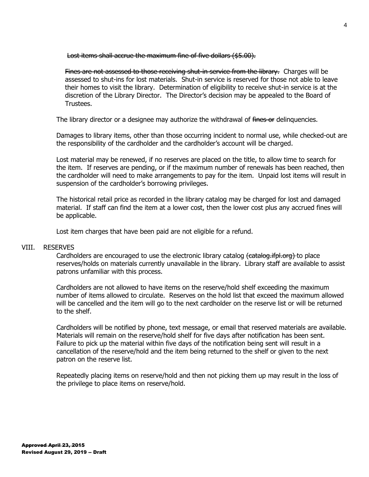Lost items shall accrue the maximum fine of five dollars (\$5.00).

Fines are not assessed to those receiving shut-in service from the library. Charges will be assessed to shut-ins for lost materials. Shut-in service is reserved for those not able to leave their homes to visit the library. Determination of eligibility to receive shut-in service is at the discretion of the Library Director. The Director's decision may be appealed to the Board of Trustees.

The library director or a designee may authorize the withdrawal of fines or delinguencies.

Damages to library items, other than those occurring incident to normal use, while checked-out are the responsibility of the cardholder and the cardholder's account will be charged.

Lost material may be renewed, if no reserves are placed on the title, to allow time to search for the item. If reserves are pending, or if the maximum number of renewals has been reached, then the cardholder will need to make arrangements to pay for the item. Unpaid lost items will result in suspension of the cardholder's borrowing privileges.

The historical retail price as recorded in the library catalog may be charged for lost and damaged material. If staff can find the item at a lower cost, then the lower cost plus any accrued fines will be applicable.

Lost item charges that have been paid are not eligible for a refund.

### VIII. RESERVES

Cardholders are encouraged to use the electronic library catalog (catalog.ifpl.org) to place reserves/holds on materials currently unavailable in the library. Library staff are available to assist patrons unfamiliar with this process.

Cardholders are not allowed to have items on the reserve/hold shelf exceeding the maximum number of items allowed to circulate. Reserves on the hold list that exceed the maximum allowed will be cancelled and the item will go to the next cardholder on the reserve list or will be returned to the shelf.

Cardholders will be notified by phone, text message, or email that reserved materials are available. Materials will remain on the reserve/hold shelf for five days after notification has been sent. Failure to pick up the material within five days of the notification being sent will result in a cancellation of the reserve/hold and the item being returned to the shelf or given to the next patron on the reserve list.

Repeatedly placing items on reserve/hold and then not picking them up may result in the loss of the privilege to place items on reserve/hold.